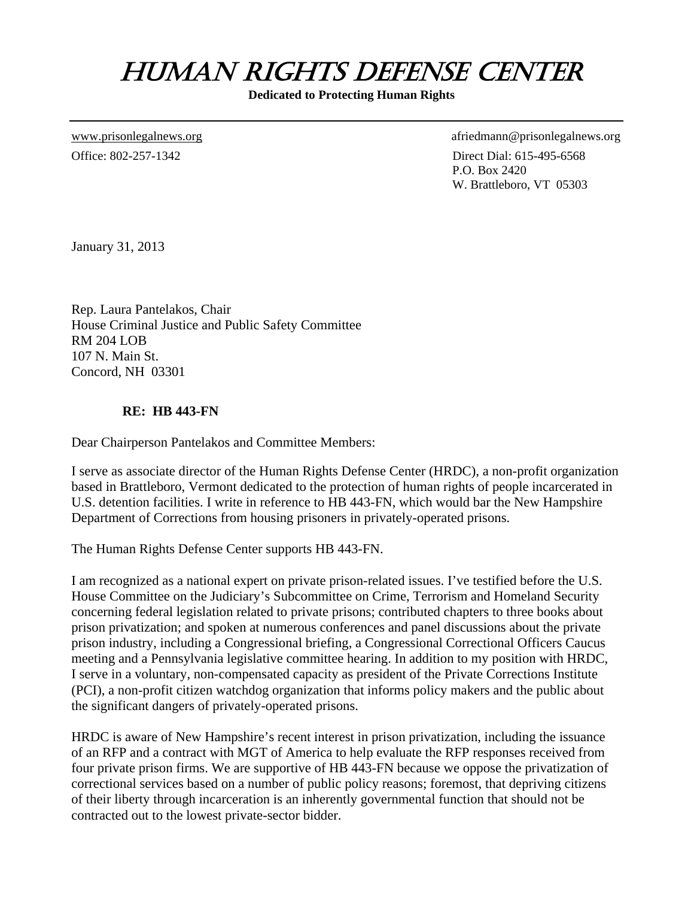## HUMAN RIGHTS DEFENSE CENTER

**Dedicated to Protecting Human Rights** 

[www.prisonlegalnews.org](http://www.prisonlegalnews.org/) afriedmann@prisonlegalnews.org Office: 802-257-1342 Direct Dial: 615-495-6568 P.O. Box 2420 W. Brattleboro, VT 05303

January 31, 2013

Rep. Laura Pantelakos, Chair House Criminal Justice and Public Safety Committee RM 204 LOB 107 N. Main St. Concord, NH 03301

#### **RE: HB 443-FN**

Dear Chairperson Pantelakos and Committee Members:

I serve as associate director of the Human Rights Defense Center (HRDC), a non-profit organization based in Brattleboro, Vermont dedicated to the protection of human rights of people incarcerated in U.S. detention facilities. I write in reference to HB 443-FN, which would bar the New Hampshire Department of Corrections from housing prisoners in privately-operated prisons.

The Human Rights Defense Center supports HB 443-FN.

I am recognized as a national expert on private prison-related issues. I've testified before the U.S. House Committee on the Judiciary's Subcommittee on Crime, Terrorism and Homeland Security concerning federal legislation related to private prisons; contributed chapters to three books about prison privatization; and spoken at numerous conferences and panel discussions about the private prison industry, including a Congressional briefing, a Congressional Correctional Officers Caucus meeting and a Pennsylvania legislative committee hearing. In addition to my position with HRDC, I serve in a voluntary, non-compensated capacity as president of the Private Corrections Institute (PCI), a non-profit citizen watchdog organization that informs policy makers and the public about the significant dangers of privately-operated prisons.

HRDC is aware of New Hampshire's recent interest in prison privatization, including the issuance of an RFP and a contract with MGT of America to help evaluate the RFP responses received from four private prison firms. We are supportive of HB 443-FN because we oppose the privatization of correctional services based on a number of public policy reasons; foremost, that depriving citizens of their liberty through incarceration is an inherently governmental function that should not be contracted out to the lowest private-sector bidder.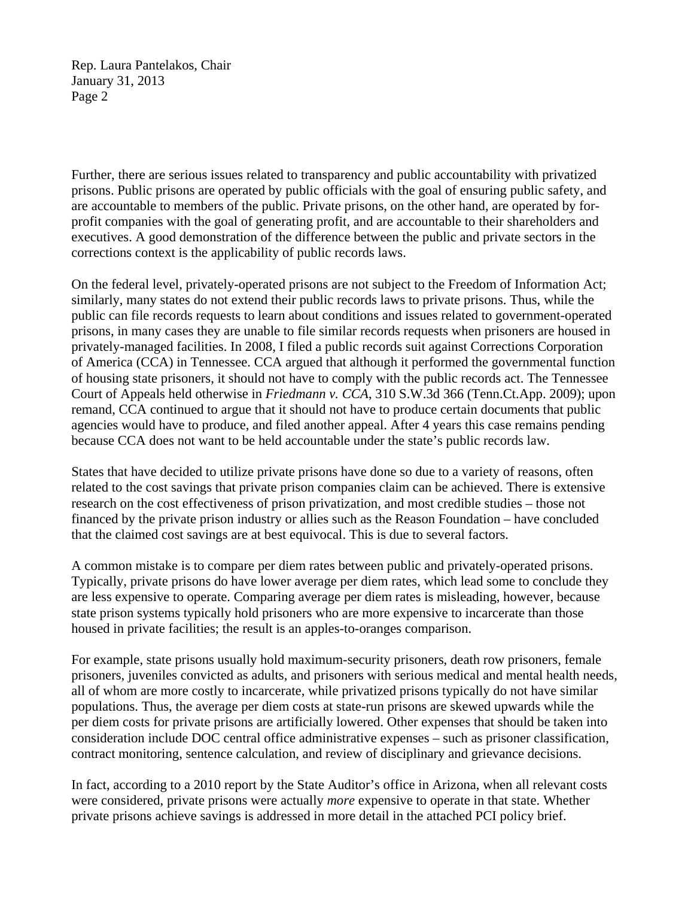Rep. Laura Pantelakos, Chair January 31, 2013 Page 2

Further, there are serious issues related to transparency and public accountability with privatized prisons. Public prisons are operated by public officials with the goal of ensuring public safety, and are accountable to members of the public. Private prisons, on the other hand, are operated by forprofit companies with the goal of generating profit, and are accountable to their shareholders and executives. A good demonstration of the difference between the public and private sectors in the corrections context is the applicability of public records laws.

On the federal level, privately-operated prisons are not subject to the Freedom of Information Act; similarly, many states do not extend their public records laws to private prisons. Thus, while the public can file records requests to learn about conditions and issues related to government-operated prisons, in many cases they are unable to file similar records requests when prisoners are housed in privately-managed facilities. In 2008, I filed a public records suit against Corrections Corporation of America (CCA) in Tennessee. CCA argued that although it performed the governmental function of housing state prisoners, it should not have to comply with the public records act. The Tennessee Court of Appeals held otherwise in *Friedmann v. CCA*, 310 S.W.3d 366 (Tenn.Ct.App. 2009); upon remand, CCA continued to argue that it should not have to produce certain documents that public agencies would have to produce, and filed another appeal. After 4 years this case remains pending because CCA does not want to be held accountable under the state's public records law.

States that have decided to utilize private prisons have done so due to a variety of reasons, often related to the cost savings that private prison companies claim can be achieved. There is extensive research on the cost effectiveness of prison privatization, and most credible studies – those not financed by the private prison industry or allies such as the Reason Foundation – have concluded that the claimed cost savings are at best equivocal. This is due to several factors.

A common mistake is to compare per diem rates between public and privately-operated prisons. Typically, private prisons do have lower average per diem rates, which lead some to conclude they are less expensive to operate. Comparing average per diem rates is misleading, however, because state prison systems typically hold prisoners who are more expensive to incarcerate than those housed in private facilities; the result is an apples-to-oranges comparison.

For example, state prisons usually hold maximum-security prisoners, death row prisoners, female prisoners, juveniles convicted as adults, and prisoners with serious medical and mental health needs, all of whom are more costly to incarcerate, while privatized prisons typically do not have similar populations. Thus, the average per diem costs at state-run prisons are skewed upwards while the per diem costs for private prisons are artificially lowered. Other expenses that should be taken into consideration include DOC central office administrative expenses – such as prisoner classification, contract monitoring, sentence calculation, and review of disciplinary and grievance decisions.

In fact, according to a 2010 report by the State Auditor's office in Arizona, when all relevant costs were considered, private prisons were actually *more* expensive to operate in that state. Whether private prisons achieve savings is addressed in more detail in the attached PCI policy brief.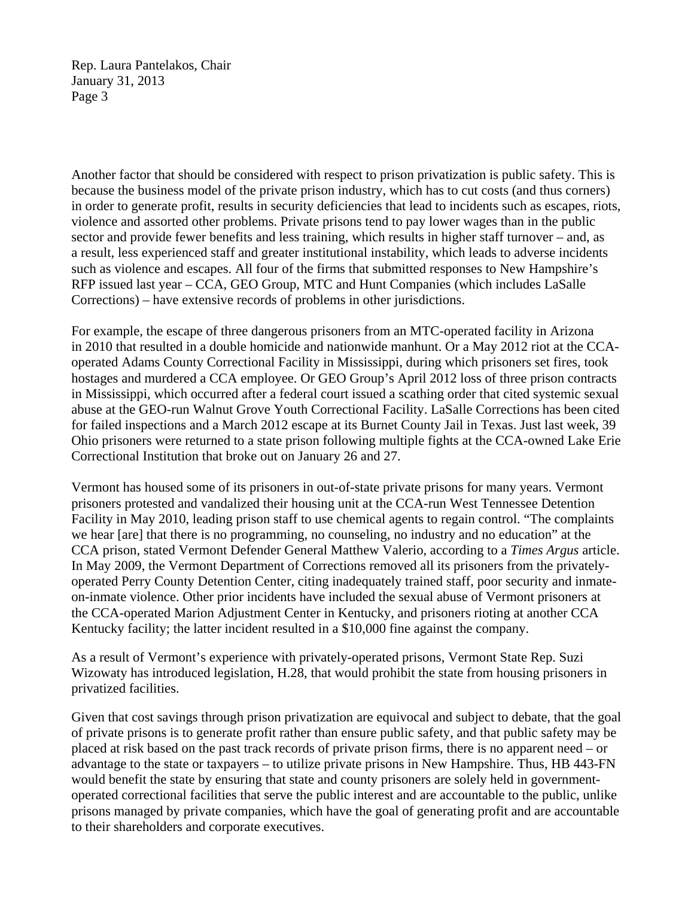Rep. Laura Pantelakos, Chair January 31, 2013 Page 3

Another factor that should be considered with respect to prison privatization is public safety. This is because the business model of the private prison industry, which has to cut costs (and thus corners) in order to generate profit, results in security deficiencies that lead to incidents such as escapes, riots, violence and assorted other problems. Private prisons tend to pay lower wages than in the public sector and provide fewer benefits and less training, which results in higher staff turnover – and, as a result, less experienced staff and greater institutional instability, which leads to adverse incidents such as violence and escapes. All four of the firms that submitted responses to New Hampshire's RFP issued last year – CCA, GEO Group, MTC and Hunt Companies (which includes LaSalle Corrections) – have extensive records of problems in other jurisdictions.

For example, the escape of three dangerous prisoners from an MTC-operated facility in Arizona in 2010 that resulted in a double homicide and nationwide manhunt. Or a May 2012 riot at the CCAoperated Adams County Correctional Facility in Mississippi, during which prisoners set fires, took hostages and murdered a CCA employee. Or GEO Group's April 2012 loss of three prison contracts in Mississippi, which occurred after a federal court issued a scathing order that cited systemic sexual abuse at the GEO-run Walnut Grove Youth Correctional Facility. LaSalle Corrections has been cited for failed inspections and a March 2012 escape at its Burnet County Jail in Texas. Just last week, 39 Ohio prisoners were returned to a state prison following multiple fights at the CCA-owned Lake Erie Correctional Institution that broke out on January 26 and 27.

Vermont has housed some of its prisoners in out-of-state private prisons for many years. Vermont prisoners protested and vandalized their housing unit at the CCA-run West Tennessee Detention Facility in May 2010, leading prison staff to use chemical agents to regain control. "The complaints we hear [are] that there is no programming, no counseling, no industry and no education" at the CCA prison, stated Vermont Defender General Matthew Valerio, according to a *Times Argus* article. In May 2009, the Vermont Department of Corrections removed all its prisoners from the privatelyoperated Perry County Detention Center, citing inadequately trained staff, poor security and inmateon-inmate violence. Other prior incidents have included the sexual abuse of Vermont prisoners at the CCA-operated Marion Adjustment Center in Kentucky, and prisoners rioting at another CCA Kentucky facility; the latter incident resulted in a \$10,000 fine against the company.

As a result of Vermont's experience with privately-operated prisons, Vermont State Rep. Suzi Wizowaty has introduced legislation, H.28, that would prohibit the state from housing prisoners in privatized facilities.

Given that cost savings through prison privatization are equivocal and subject to debate, that the goal of private prisons is to generate profit rather than ensure public safety, and that public safety may be placed at risk based on the past track records of private prison firms, there is no apparent need – or advantage to the state or taxpayers – to utilize private prisons in New Hampshire. Thus, HB 443-FN would benefit the state by ensuring that state and county prisoners are solely held in governmentoperated correctional facilities that serve the public interest and are accountable to the public, unlike prisons managed by private companies, which have the goal of generating profit and are accountable to their shareholders and corporate executives.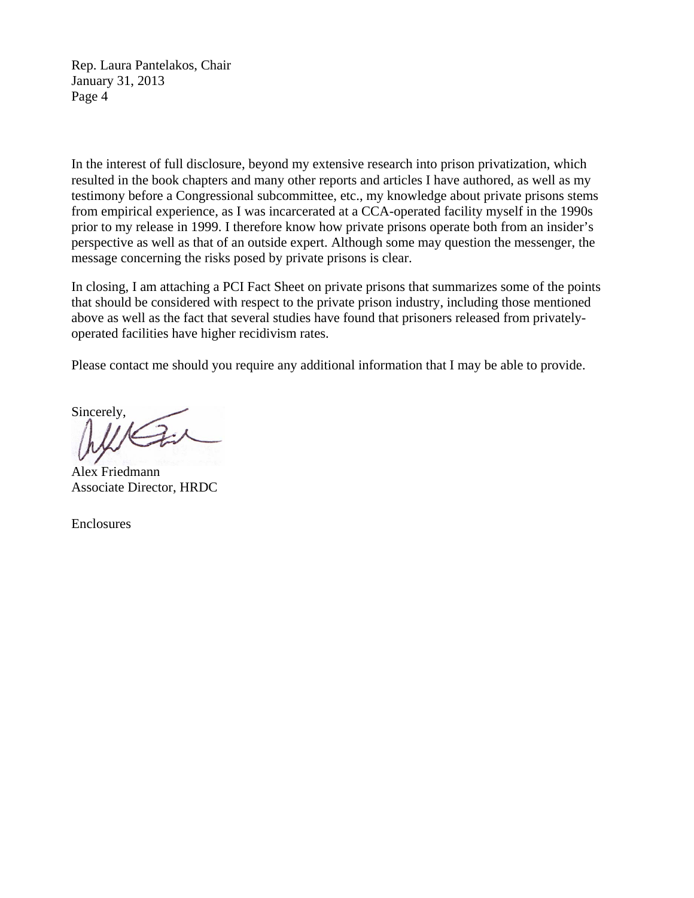Rep. Laura Pantelakos, Chair January 31, 2013 Page 4

In the interest of full disclosure, beyond my extensive research into prison privatization, which resulted in the book chapters and many other reports and articles I have authored, as well as my testimony before a Congressional subcommittee, etc., my knowledge about private prisons stems from empirical experience, as I was incarcerated at a CCA-operated facility myself in the 1990s prior to my release in 1999. I therefore know how private prisons operate both from an insider's perspective as well as that of an outside expert. Although some may question the messenger, the message concerning the risks posed by private prisons is clear.

In closing, I am attaching a PCI Fact Sheet on private prisons that summarizes some of the points that should be considered with respect to the private prison industry, including those mentioned above as well as the fact that several studies have found that prisoners released from privatelyoperated facilities have higher recidivism rates.

Please contact me should you require any additional information that I may be able to provide.

Sincerely,

Alex Friedmann Associate Director, HRDC

Enclosures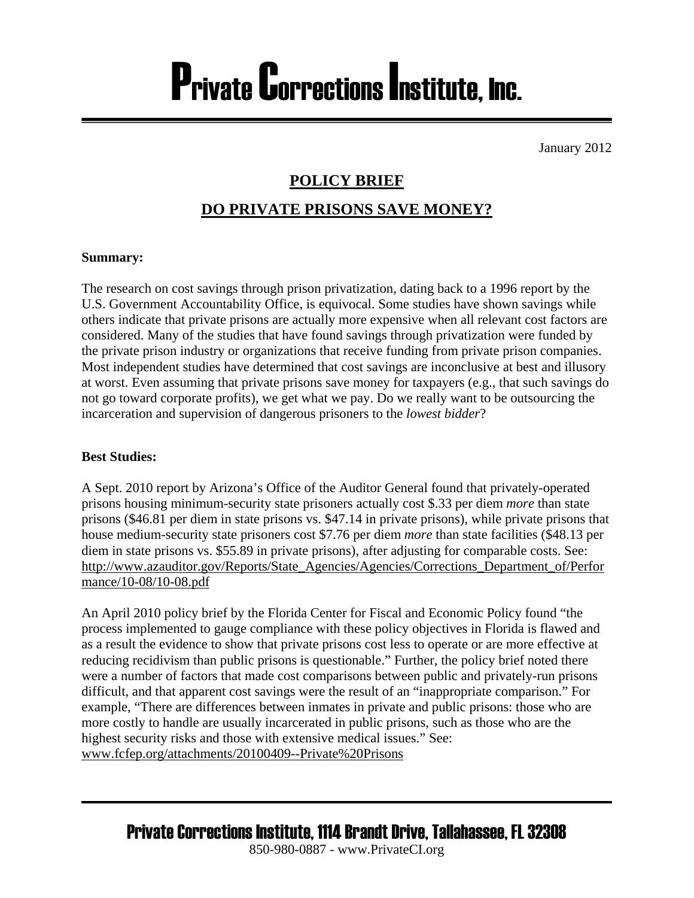# Private Corrections Institute, Inc.

January 2012

### **POLICY BRIEF**

### **DO PRIVATE PRISONS SAVE MONEY?**

### **Summary:**

The research on cost savings through prison privatization, dating back to a 1996 report by the U.S. Government Accountability Office, is equivocal. Some studies have shown savings while others indicate that private prisons are actually more expensive when all relevant cost factors are considered. Many of the studies that have found savings through privatization were funded by the private prison industry or organizations that receive funding from private prison companies. Most independent studies have determined that cost savings are inconclusive at best and illusory at worst. Even assuming that private prisons save money for taxpayers (e.g., that such savings do not go toward corporate profits), we get what we pay. Do we really want to be outsourcing the incarceration and supervision of dangerous prisoners to the *lowest bidder*?

### **Best Studies:**

A Sept. 2010 report by Arizona's Office of the Auditor General found that privately-operated prisons housing minimum-security state prisoners actually cost \$.33 per diem *more* than state prisons (\$46.81 per diem in state prisons vs. \$47.14 in private prisons), while private prisons that house medium-security state prisoners cost \$7.76 per diem *more* than state facilities (\$48.13 per diem in state prisons vs. \$55.89 in private prisons), after adjusting for comparable costs. See: [http://www.azauditor.gov/Reports/State\\_Agencies/Agencies/Corrections\\_Department\\_of/Perfor](http://www.azauditor.gov/Reports/State_Agencies/Agencies/Corrections_Department_of/Performance/10-08/10-08.pdf) [mance/10-08/10-08.pdf](http://www.azauditor.gov/Reports/State_Agencies/Agencies/Corrections_Department_of/Performance/10-08/10-08.pdf)

An April 2010 policy brief by the Florida Center for Fiscal and Economic Policy found "the process implemented to gauge compliance with these policy objectives in Florida is flawed and as a result the evidence to show that private prisons cost less to operate or are more effective at reducing recidivism than public prisons is questionable." Further, the policy brief noted there were a number of factors that made cost comparisons between public and privately-run prisons difficult, and that apparent cost savings were the result of an "inappropriate comparison." For example, "There are differences between inmates in private and public prisons: those who are more costly to handle are usually incarcerated in public prisons, such as those who are the highest security risks and those with extensive medical issues." See: [www.fcfep.org/attachments/20100409--Private%20Prisons](http://www.fcfep.org/attachments/20100409--Private%20Prisons)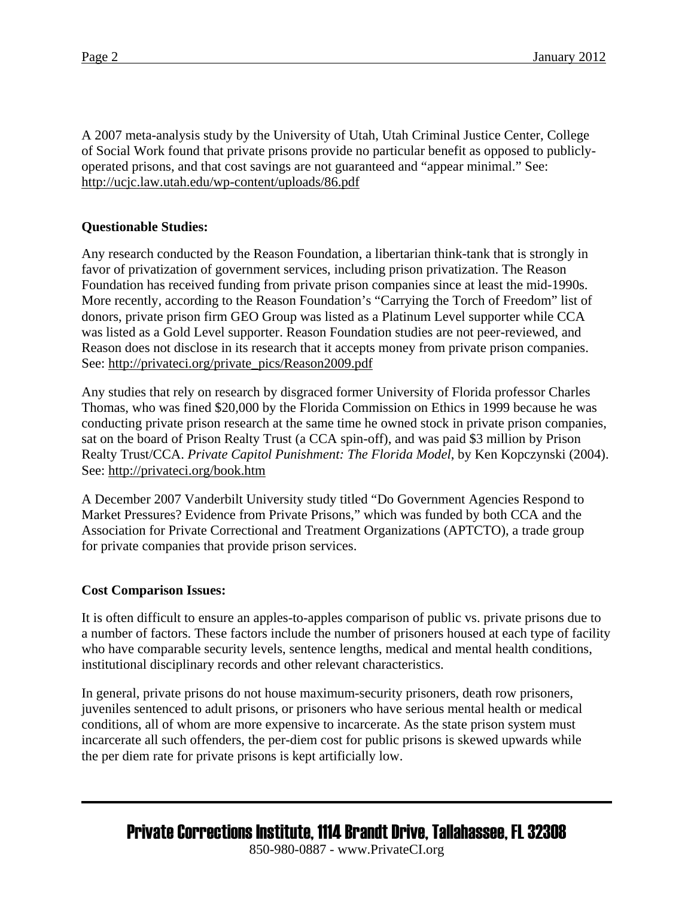A 2007 meta-analysis study by the University of Utah, Utah Criminal Justice Center, College of Social Work found that private prisons provide no particular benefit as opposed to publiclyoperated prisons, and that cost savings are not guaranteed and "appear minimal." See: <http://ucjc.law.utah.edu/wp-content/uploads/86.pdf>

### **Questionable Studies:**

Any research conducted by the Reason Foundation, a libertarian think-tank that is strongly in favor of privatization of government services, including prison privatization. The Reason Foundation has received funding from private prison companies since at least the mid-1990s. More recently, according to the Reason Foundation's "Carrying the Torch of Freedom" list of donors, private prison firm GEO Group was listed as a Platinum Level supporter while CCA was listed as a Gold Level supporter. Reason Foundation studies are not peer-reviewed, and Reason does not disclose in its research that it accepts money from private prison companies. See: [http://privateci.org/private\\_pics/Reason2009.pdf](http://privateci.org/private_pics/Reason2009.pdf)

Any studies that rely on research by disgraced former University of Florida professor Charles Thomas, who was fined \$20,000 by the Florida Commission on Ethics in 1999 because he was conducting private prison research at the same time he owned stock in private prison companies, sat on the board of Prison Realty Trust (a CCA spin-off), and was paid \$3 million by Prison Realty Trust/CCA. *Private Capitol Punishment: The Florida Model*, by Ken Kopczynski (2004). See: <http://privateci.org/book.htm>

A December 2007 Vanderbilt University study titled "Do Government Agencies Respond to Market Pressures? Evidence from Private Prisons," which was funded by both CCA and the Association for Private Correctional and Treatment Organizations (APTCTO), a trade group for private companies that provide prison services.

#### **Cost Comparison Issues:**

It is often difficult to ensure an apples-to-apples comparison of public vs. private prisons due to a number of factors. These factors include the number of prisoners housed at each type of facility who have comparable security levels, sentence lengths, medical and mental health conditions, institutional disciplinary records and other relevant characteristics.

In general, private prisons do not house maximum-security prisoners, death row prisoners, juveniles sentenced to adult prisons, or prisoners who have serious mental health or medical conditions, all of whom are more expensive to incarcerate. As the state prison system must incarcerate all such offenders, the per-diem cost for public prisons is skewed upwards while the per diem rate for private prisons is kept artificially low.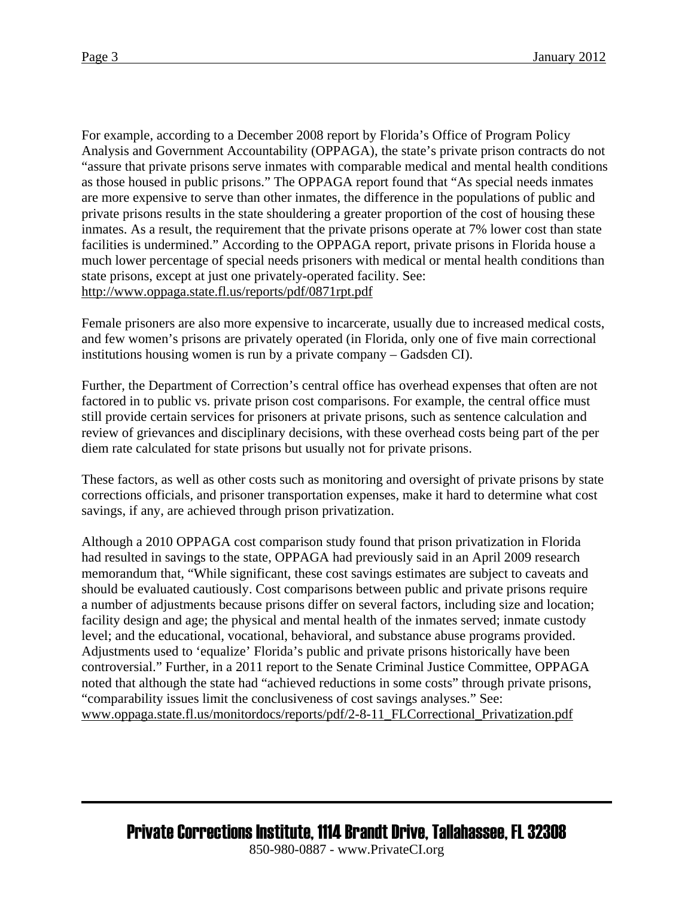For example, according to a December 2008 report by Florida's Office of Program Policy Analysis and Government Accountability (OPPAGA), the state's private prison contracts do not "assure that private prisons serve inmates with comparable medical and mental health conditions as those housed in public prisons." The OPPAGA report found that "As special needs inmates are more expensive to serve than other inmates, the difference in the populations of public and private prisons results in the state shouldering a greater proportion of the cost of housing these inmates. As a result, the requirement that the private prisons operate at 7% lower cost than state facilities is undermined." According to the OPPAGA report, private prisons in Florida house a much lower percentage of special needs prisoners with medical or mental health conditions than state prisons, except at just one privately-operated facility. See: <http://www.oppaga.state.fl.us/reports/pdf/0871rpt.pdf>

Female prisoners are also more expensive to incarcerate, usually due to increased medical costs, and few women's prisons are privately operated (in Florida, only one of five main correctional institutions housing women is run by a private company – Gadsden CI).

Further, the Department of Correction's central office has overhead expenses that often are not factored in to public vs. private prison cost comparisons. For example, the central office must still provide certain services for prisoners at private prisons, such as sentence calculation and review of grievances and disciplinary decisions, with these overhead costs being part of the per diem rate calculated for state prisons but usually not for private prisons.

These factors, as well as other costs such as monitoring and oversight of private prisons by state corrections officials, and prisoner transportation expenses, make it hard to determine what cost savings, if any, are achieved through prison privatization.

Although a 2010 OPPAGA cost comparison study found that prison privatization in Florida had resulted in savings to the state, OPPAGA had previously said in an April 2009 research memorandum that, "While significant, these cost savings estimates are subject to caveats and should be evaluated cautiously. Cost comparisons between public and private prisons require a number of adjustments because prisons differ on several factors, including size and location; facility design and age; the physical and mental health of the inmates served; inmate custody level; and the educational, vocational, behavioral, and substance abuse programs provided. Adjustments used to 'equalize' Florida's public and private prisons historically have been controversial." Further, in a 2011 report to the Senate Criminal Justice Committee, OPPAGA noted that although the state had "achieved reductions in some costs" through private prisons, "comparability issues limit the conclusiveness of cost savings analyses." See: [www.oppaga.state.fl.us/monitordocs/reports/pdf/2-8-11\\_FLCorrectional\\_Privatization.pdf](http://www.oppaga.state.fl.us/monitordocs/reports/pdf/2-8-11_FLCorrectional_Privatization.pdf)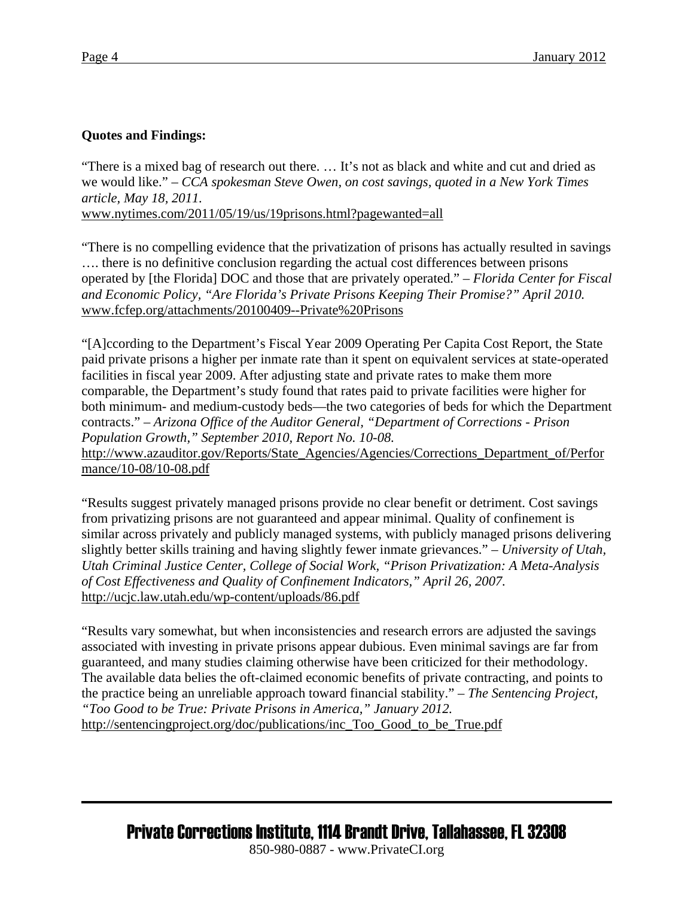### **Quotes and Findings:**

"There is a mixed bag of research out there. … It's not as black and white and cut and dried as we would like." – *CCA spokesman Steve Owen, on cost savings, quoted in a New York Times article, May 18, 2011.*

[www.nytimes.com/2011/05/19/us/19prisons.html?pagewanted=all](http://www.nytimes.com/2011/05/19/us/19prisons.html?pagewanted=all)

"There is no compelling evidence that the privatization of prisons has actually resulted in savings …. there is no definitive conclusion regarding the actual cost differences between prisons operated by [the Florida] DOC and those that are privately operated." – *Florida Center for Fiscal and Economic Policy, "Are Florida's Private Prisons Keeping Their Promise?" April 2010.* [www.fcfep.org/attachments/20100409--Private%20Prisons](http://www.fcfep.org/attachments/20100409--Private%20Prisons)

"[A]ccording to the Department's Fiscal Year 2009 Operating Per Capita Cost Report, the State paid private prisons a higher per inmate rate than it spent on equivalent services at state-operated facilities in fiscal year 2009. After adjusting state and private rates to make them more comparable, the Department's study found that rates paid to private facilities were higher for both minimum- and medium-custody beds—the two categories of beds for which the Department contracts." – *Arizona Office of the Auditor General, "Department of Corrections - Prison Population Growth," September 2010, Report No. 10-08.*

[http://www.azauditor.gov/Reports/State\\_Agencies/Agencies/Corrections\\_Department\\_of/Perfor](http://www.azauditor.gov/Reports/State_Agencies/Agencies/Corrections_Department_of/Performance/10-08/10-08.pdf) [mance/10-08/10-08.pdf](http://www.azauditor.gov/Reports/State_Agencies/Agencies/Corrections_Department_of/Performance/10-08/10-08.pdf)

"Results suggest privately managed prisons provide no clear benefit or detriment. Cost savings from privatizing prisons are not guaranteed and appear minimal. Quality of confinement is similar across privately and publicly managed systems, with publicly managed prisons delivering slightly better skills training and having slightly fewer inmate grievances." – *University of Utah, Utah Criminal Justice Center, College of Social Work, "Prison Privatization: A Meta-Analysis of Cost Effectiveness and Quality of Confinement Indicators," April 26, 2007.* <http://ucjc.law.utah.edu/wp-content/uploads/86.pdf>

"Results vary somewhat, but when inconsistencies and research errors are adjusted the savings associated with investing in private prisons appear dubious. Even minimal savings are far from guaranteed, and many studies claiming otherwise have been criticized for their methodology. The available data belies the oft-claimed economic benefits of private contracting, and points to the practice being an unreliable approach toward financial stability." – *The Sentencing Project, "Too Good to be True: Private Prisons in America," January 2012.*  [http://sentencingproject.org/doc/publications/inc\\_Too\\_Good\\_to\\_be\\_True.pdf](http://sentencingproject.org/doc/publications/inc_Too_Good_to_be_True.pdf)

# Private Corrections Institute, 1114 Brandt Drive, Tallahassee, FL 32308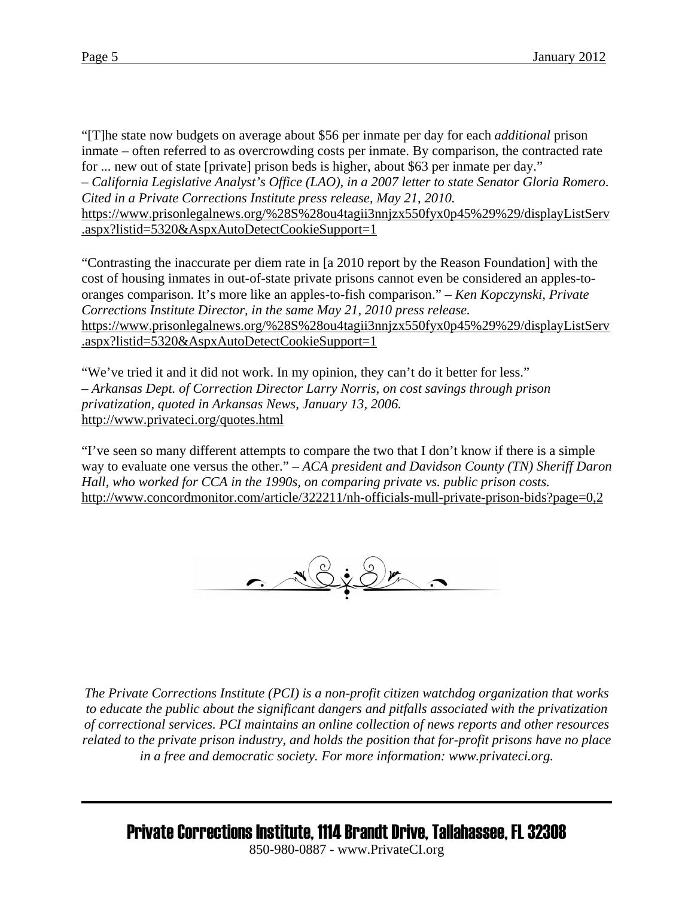"[T]he state now budgets on average about \$56 per inmate per day for each *additional* prison inmate – often referred to as overcrowding costs per inmate. By comparison, the contracted rate for ... new out of state [private] prison beds is higher, about \$63 per inmate per day." – *California Legislative Analyst's Office (LAO), in a 2007 letter to state Senator Gloria Romero*. *Cited in a Private Corrections Institute press release, May 21, 2010.*  [https://www.prisonlegalnews.org/%28S%28ou4tagii3nnjzx550fyx0p45%29%29/displayListServ](https://www.prisonlegalnews.org/%28S%28ou4tagii3nnjzx550fyx0p45%29%29/displayListServ.aspx?listid=5320&AspxAutoDetectCookieSupport=1) [.aspx?listid=5320&AspxAutoDetectCookieSupport=1](https://www.prisonlegalnews.org/%28S%28ou4tagii3nnjzx550fyx0p45%29%29/displayListServ.aspx?listid=5320&AspxAutoDetectCookieSupport=1)

"Contrasting the inaccurate per diem rate in [a 2010 report by the Reason Foundation] with the cost of housing inmates in out-of-state private prisons cannot even be considered an apples-tooranges comparison. It's more like an apples-to-fish comparison." – *Ken Kopczynski, Private Corrections Institute Director, in the same May 21, 2010 press release.*  [https://www.prisonlegalnews.org/%28S%28ou4tagii3nnjzx550fyx0p45%29%29/displayListServ](https://www.prisonlegalnews.org/%28S%28ou4tagii3nnjzx550fyx0p45%29%29/displayListServ.aspx?listid=5320&AspxAutoDetectCookieSupport=1) [.aspx?listid=5320&AspxAutoDetectCookieSupport=1](https://www.prisonlegalnews.org/%28S%28ou4tagii3nnjzx550fyx0p45%29%29/displayListServ.aspx?listid=5320&AspxAutoDetectCookieSupport=1)

"We've tried it and it did not work. In my opinion, they can't do it better for less." *– Arkansas Dept. of Correction Director Larry Norris, on cost savings through prison privatization, quoted in Arkansas News, January 13, 2006.*  <http://www.privateci.org/quotes.html>

"I've seen so many different attempts to compare the two that I don't know if there is a simple way to evaluate one versus the other." – *ACA president and Davidson County (TN) Sheriff Daron Hall, who worked for CCA in the 1990s, on comparing private vs. public prison costs.*  http://www.concordmonitor.com/article/322211/nh-officials-mull-private-prison-bids?page=0,2



 *The Private Corrections Institute (PCI) is a non-profit citizen watchdog organization that works to educate the public about the significant dangers and pitfalls associated with the privatization of correctional services. PCI maintains an online collection of news reports and other resources related to the private prison industry, and holds the position that for-profit prisons have no place in a free and democratic society. For more information: www.privateci.org.* 

Private Corrections Institute, 1114 Brandt Drive, Tallahassee, FL 32308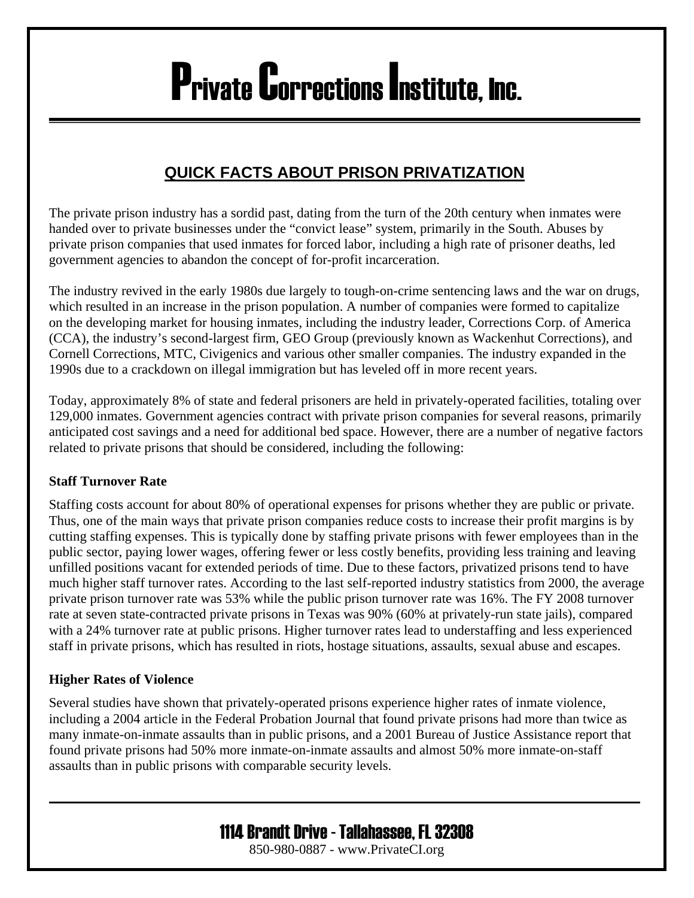# Private Corrections Institute, Inc.

### **QUICK FACTS ABOUT PRISON PRIVATIZATION**

The private prison industry has a sordid past, dating from the turn of the 20th century when inmates were handed over to private businesses under the "convict lease" system, primarily in the South. Abuses by private prison companies that used inmates for forced labor, including a high rate of prisoner deaths, led government agencies to abandon the concept of for-profit incarceration.

The industry revived in the early 1980s due largely to tough-on-crime sentencing laws and the war on drugs, which resulted in an increase in the prison population. A number of companies were formed to capitalize on the developing market for housing inmates, including the industry leader, Corrections Corp. of America (CCA), the industry's second-largest firm, GEO Group (previously known as Wackenhut Corrections), and Cornell Corrections, MTC, Civigenics and various other smaller companies. The industry expanded in the 1990s due to a crackdown on illegal immigration but has leveled off in more recent years.

Today, approximately 8% of state and federal prisoners are held in privately-operated facilities, totaling over 129,000 inmates. Government agencies contract with private prison companies for several reasons, primarily anticipated cost savings and a need for additional bed space. However, there are a number of negative factors related to private prisons that should be considered, including the following:

### **Staff Turnover Rate**

Staffing costs account for about 80% of operational expenses for prisons whether they are public or private. Thus, one of the main ways that private prison companies reduce costs to increase their profit margins is by cutting staffing expenses. This is typically done by staffing private prisons with fewer employees than in the public sector, paying lower wages, offering fewer or less costly benefits, providing less training and leaving unfilled positions vacant for extended periods of time. Due to these factors, privatized prisons tend to have much higher staff turnover rates. According to the last self-reported industry statistics from 2000, the average private prison turnover rate was 53% while the public prison turnover rate was 16%. The FY 2008 turnover rate at seven state-contracted private prisons in Texas was 90% (60% at privately-run state jails), compared with a 24% turnover rate at public prisons. Higher turnover rates lead to understaffing and less experienced staff in private prisons, which has resulted in riots, hostage situations, assaults, sexual abuse and escapes.

### **Higher Rates of Violence**

Several studies have shown that privately-operated prisons experience higher rates of inmate violence, including a 2004 article in the Federal Probation Journal that found private prisons had more than twice as many inmate-on-inmate assaults than in public prisons, and a 2001 Bureau of Justice Assistance report that found private prisons had 50% more inmate-on-inmate assaults and almost 50% more inmate-on-staff assaults than in public prisons with comparable security levels.

## 1114 Brandt Drive - Tallahassee, FL 32308